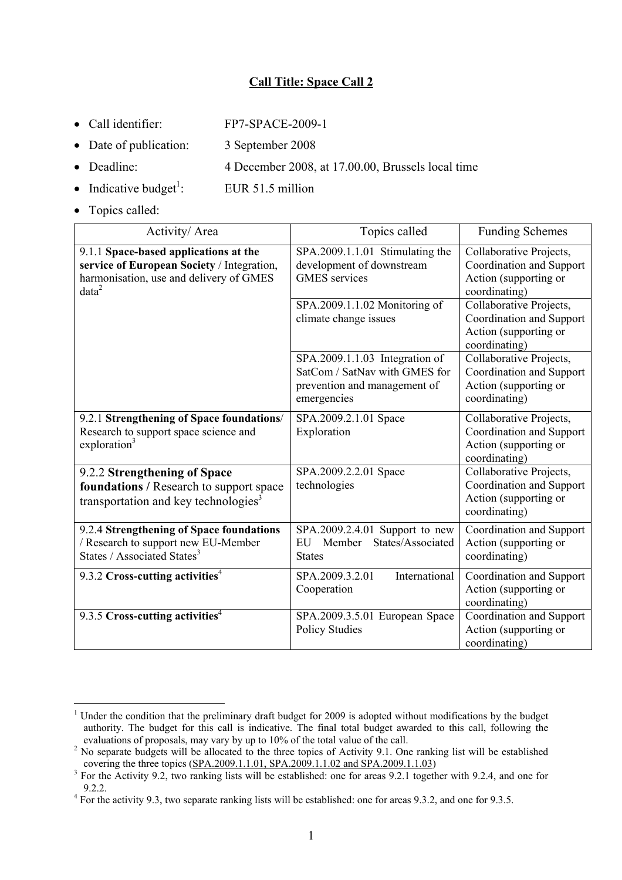## **Call Title: Space Call 2**

- Call identifier: FP7-SPACE-2009-1
- Date of publication: 3 September 2008
- Deadline: 4 December 2008, at 17.00.00, Brussels local time
- Indicative budget<sup>1</sup>: EUR 51.5 million
- Topics called:

1

| Activity/Area                                                                                                                                       | Topics called                                                                                                  | <b>Funding Schemes</b>                                                                        |
|-----------------------------------------------------------------------------------------------------------------------------------------------------|----------------------------------------------------------------------------------------------------------------|-----------------------------------------------------------------------------------------------|
| 9.1.1 Space-based applications at the<br>service of European Society / Integration,<br>harmonisation, use and delivery of GMES<br>data <sup>2</sup> | SPA.2009.1.1.01 Stimulating the<br>development of downstream<br><b>GMES</b> services                           | Collaborative Projects,<br>Coordination and Support<br>Action (supporting or<br>coordinating) |
|                                                                                                                                                     | SPA.2009.1.1.02 Monitoring of<br>climate change issues                                                         | Collaborative Projects,<br>Coordination and Support<br>Action (supporting or<br>coordinating) |
|                                                                                                                                                     | SPA.2009.1.1.03 Integration of<br>SatCom / SatNav with GMES for<br>prevention and management of<br>emergencies | Collaborative Projects,<br>Coordination and Support<br>Action (supporting or<br>coordinating) |
| 9.2.1 Strengthening of Space foundations/<br>Research to support space science and<br>exploration <sup>3</sup>                                      | SPA.2009.2.1.01 Space<br>Exploration                                                                           | Collaborative Projects,<br>Coordination and Support<br>Action (supporting or<br>coordinating) |
| 9.2.2 Strengthening of Space<br>foundations / Research to support space<br>transportation and key technologies <sup>3</sup>                         | SPA.2009.2.2.01 Space<br>technologies                                                                          | Collaborative Projects,<br>Coordination and Support<br>Action (supporting or<br>coordinating) |
| 9.2.4 Strengthening of Space foundations<br>/ Research to support new EU-Member<br>States / Associated States <sup>3</sup>                          | SPA.2009.2.4.01 Support to new<br>States/Associated<br>Member<br>EU<br><b>States</b>                           | Coordination and Support<br>Action (supporting or<br>coordinating)                            |
| 9.3.2 Cross-cutting activities <sup>4</sup>                                                                                                         | International<br>SPA.2009.3.2.01<br>Cooperation                                                                | Coordination and Support<br>Action (supporting or<br>coordinating)                            |
| 9.3.5 Cross-cutting activities <sup>4</sup>                                                                                                         | SPA.2009.3.5.01 European Space<br><b>Policy Studies</b>                                                        | Coordination and Support<br>Action (supporting or<br>coordinating)                            |

<sup>&</sup>lt;sup>1</sup> Under the condition that the preliminary draft budget for 2009 is adopted without modifications by the budget authority. The budget for this call is indicative. The final total budget awarded to this call, following the evaluations of proposals, may vary by up to 10% of the total value of the call. 2

<sup>&</sup>lt;sup>2</sup> No separate budgets will be allocated to the three topics of Activity 9.1. One ranking list will be established covering the three topics  $(SPA.2009.1.1.01, SPA.2009.1.1.02$  and  $SPA.2009.1.1.03)$ 

<sup>&</sup>lt;sup>3</sup> For the Activity 9.2, two ranking lists will be established: one for areas 9.2.1 together with 9.2.4, and one for 9.2.2.<br><sup>4</sup> For the activity 9.3, two separate ranking lists will be established: one for areas 9.3.2, and one for 9.3.5.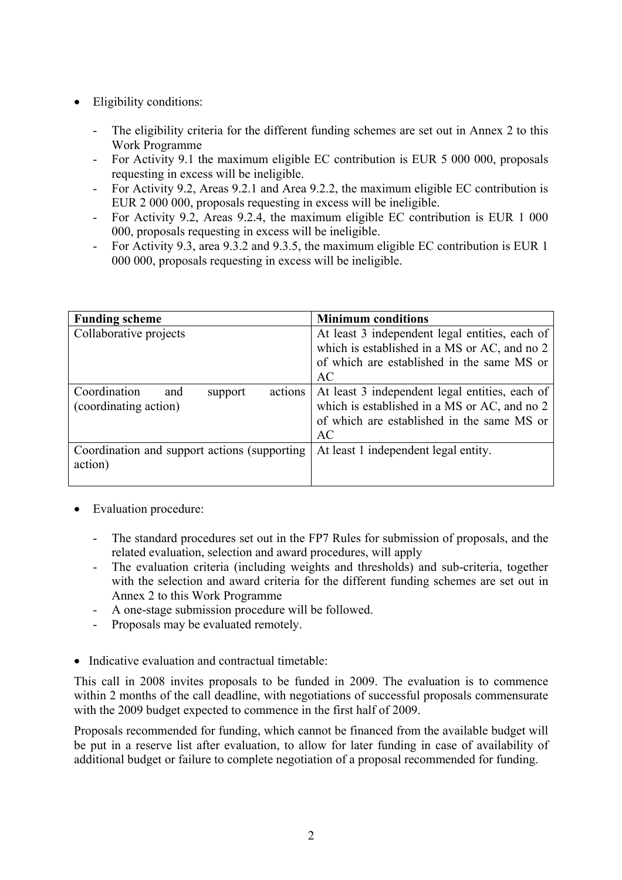- Eligibility conditions:
	- The eligibility criteria for the different funding schemes are set out in Annex 2 to this Work Programme
	- For Activity 9.1 the maximum eligible EC contribution is EUR 5 000 000, proposals requesting in excess will be ineligible.
	- For Activity 9.2, Areas 9.2.1 and Area 9.2.2, the maximum eligible EC contribution is EUR 2 000 000, proposals requesting in excess will be ineligible.
	- For Activity 9.2, Areas 9.2.4, the maximum eligible EC contribution is EUR 1 000 000, proposals requesting in excess will be ineligible.
	- For Activity 9.3, area 9.3.2 and 9.3.5, the maximum eligible EC contribution is EUR 1 000 000, proposals requesting in excess will be ineligible.

| <b>Funding scheme</b>                                              | <b>Minimum conditions</b>                                                                                                                          |
|--------------------------------------------------------------------|----------------------------------------------------------------------------------------------------------------------------------------------------|
| Collaborative projects                                             | At least 3 independent legal entities, each of<br>which is established in a MS or AC, and no 2<br>of which are established in the same MS or       |
|                                                                    | AC                                                                                                                                                 |
| Coordination<br>actions<br>and<br>support<br>(coordinating action) | At least 3 independent legal entities, each of<br>which is established in a MS or AC, and no 2<br>of which are established in the same MS or<br>AC |
| Coordination and support actions (supporting)<br>action)           | At least 1 independent legal entity.                                                                                                               |

- Evaluation procedure:
	- The standard procedures set out in the FP7 Rules for submission of proposals, and the related evaluation, selection and award procedures, will apply
	- The evaluation criteria (including weights and thresholds) and sub-criteria, together with the selection and award criteria for the different funding schemes are set out in Annex 2 to this Work Programme
	- A one-stage submission procedure will be followed.
	- Proposals may be evaluated remotely.
- Indicative evaluation and contractual timetable:

This call in 2008 invites proposals to be funded in 2009. The evaluation is to commence within 2 months of the call deadline, with negotiations of successful proposals commensurate with the 2009 budget expected to commence in the first half of 2009.

Proposals recommended for funding, which cannot be financed from the available budget will be put in a reserve list after evaluation, to allow for later funding in case of availability of additional budget or failure to complete negotiation of a proposal recommended for funding.